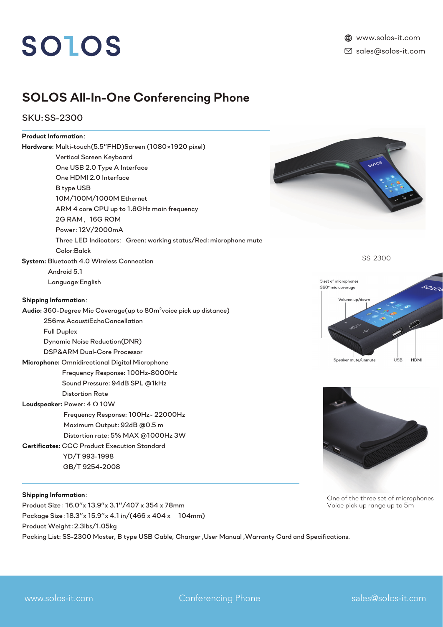# SOLOS

## *SOLOS All-In-One Conferencing Phone*

*SKU: SS-2300*

### *Product Information*:

| Hardware: Multi-touch(5.5"FHD)Screen (1080×1920 pixel)                        |                                                  |
|-------------------------------------------------------------------------------|--------------------------------------------------|
| Vertical Screen Keyboard                                                      |                                                  |
| One USB 2.0 Type A Interface                                                  | SOIOS                                            |
| One HDMI 2.0 Interface                                                        |                                                  |
| B type USB                                                                    |                                                  |
| 10M/100M/1000M Ethernet                                                       |                                                  |
| ARM 4 core CPU up to 1.8GHz main frequency                                    |                                                  |
| 2G RAM, 16G ROM                                                               |                                                  |
| Power: 12V/2000mA                                                             |                                                  |
| Three LED Indicators: Green: working status/Red: microphone mute              |                                                  |
| Color:Balck                                                                   |                                                  |
| System: Bluetooth 4.0 Wireless Connection                                     | SS-2300                                          |
| Android 5.1                                                                   |                                                  |
| Language: English                                                             | 3 set of microphones<br>360° mic coverage        |
| <b>Shipping Information:</b>                                                  | Volumn up/down                                   |
| Audio: 360-Degree Mic Coverage(up to 80m <sup>2</sup> voice pick up distance) |                                                  |
| 256ms AcoustiEchoCancellation                                                 |                                                  |
| <b>Full Duplex</b>                                                            |                                                  |
| <b>Dynamic Noise Reduction(DNR)</b>                                           |                                                  |
| DSP&ARM Dual-Core Processor                                                   |                                                  |
| Microphone: Omnidirectional Digital Microphone                                | Speaker mute/unmute<br><b>USB</b><br><b>HDMI</b> |
| Frequency Response: 100Hz-8000Hz                                              |                                                  |
| Sound Pressure: 94dB SPL @1kHz                                                |                                                  |
| <b>Distortion Rate</b>                                                        |                                                  |
| Loudspeaker: Power: 4 0 10W                                                   |                                                  |
| Frequency Response: 100Hz~ 22000Hz                                            |                                                  |
| Maximum Output: 92dB @0.5 m                                                   |                                                  |
| Distortion rate: 5% MAX @1000Hz 3W                                            |                                                  |
| <b>Certificates: CCC Product Execution Standard</b>                           |                                                  |
| YD/T993-1998                                                                  |                                                  |
| GB/T9254-2008                                                                 |                                                  |
|                                                                               |                                                  |

#### *Shipping Information*:

*Product Size*: *16.0''x 13.9''x 3.1''/407 x 354 x 78mm Package Size*:*18.3''x 15.9''x 4.1 in/(466 x 404 x 104mm) Product Weight*:*2.3lbs/1.05kg Packing List: SS-2300 Master, B type USB Cable, Charger ,User Manual ,Warranty Card and Specifications.*

*One of the three set of microphones Voice pick up range up to 5m*

ī.

www.solos-it.com **Conferencing Phone** sales@solos-it.com